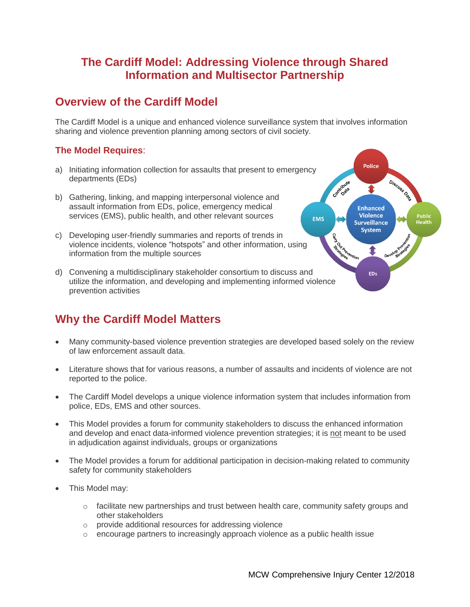## **The Cardiff Model: Addressing Violence through Shared Information and Multisector Partnership**

## **Overview of the Cardiff Model**

The Cardiff Model is a unique and enhanced violence surveillance system that involves information sharing and violence prevention planning among sectors of civil society.

#### **The Model Requires**:

- a) Initiating information collection for assaults that present to emergency departments (EDs)
- b) Gathering, linking, and mapping interpersonal violence and assault information from EDs, police, emergency medical services (EMS), public health, and other relevant sources
- c) Developing user-friendly summaries and reports of trends in violence incidents, violence "hotspots" and other information, using information from the multiple sources
- d) Convening a multidisciplinary stakeholder consortium to discuss and utilize the information, and developing and implementing informed violence prevention activities

## **Why the Cardiff Model Matters**

- Many community-based violence prevention strategies are developed based solely on the review of law enforcement assault data.
- Literature shows that for various reasons, a number of assaults and incidents of violence are not reported to the police.
- The Cardiff Model develops a unique violence information system that includes information from police, EDs, EMS and other sources.
- This Model provides a forum for community stakeholders to discuss the enhanced information and develop and enact data-informed violence prevention strategies; it is not meant to be used in adjudication against individuals, groups or organizations
- The Model provides a forum for additional participation in decision-making related to community safety for community stakeholders
- This Model may:
	- o facilitate new partnerships and trust between health care, community safety groups and other stakeholders
	- o provide additional resources for addressing violence
	- $\circ$  encourage partners to increasingly approach violence as a public health issue